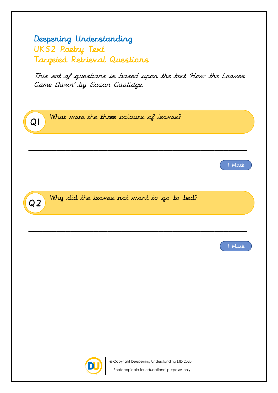## Deepening Understanding UKS2 Poetry Text Targeted Retrieval Questions

This set of questions is based upon the text 'How the Leaves Came Down' by Susan Coolidge.

Q2 Why did the leaves not want to go to bed? \_\_\_\_\_\_\_\_\_\_\_\_\_\_\_\_\_\_\_\_\_\_\_\_\_\_\_\_\_\_\_\_\_\_\_\_\_\_\_\_\_\_\_\_\_\_\_ 1 Mark Q1 What were the three colours of leaves? \_\_\_\_\_\_\_\_\_\_\_\_\_\_\_\_\_\_\_\_\_\_\_\_\_\_\_\_\_\_\_\_\_\_\_\_\_\_\_\_\_\_\_\_\_\_\_ 1 Mark

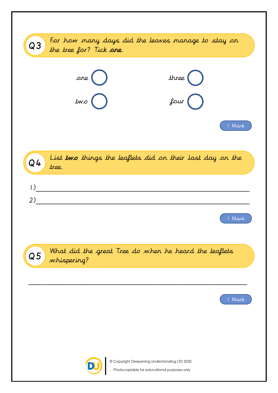